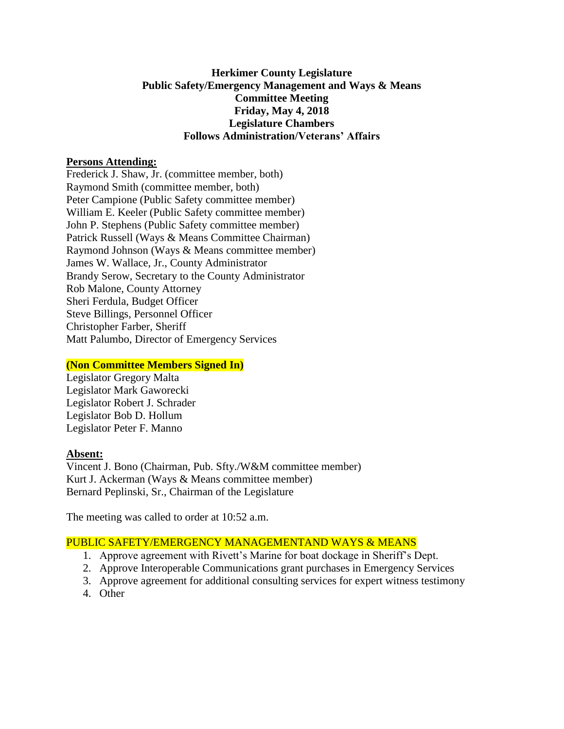## **Herkimer County Legislature Public Safety/Emergency Management and Ways & Means Committee Meeting Friday, May 4, 2018 Legislature Chambers Follows Administration/Veterans' Affairs**

### **Persons Attending:**

Frederick J. Shaw, Jr. (committee member, both) Raymond Smith (committee member, both) Peter Campione (Public Safety committee member) William E. Keeler (Public Safety committee member) John P. Stephens (Public Safety committee member) Patrick Russell (Ways & Means Committee Chairman) Raymond Johnson (Ways & Means committee member) James W. Wallace, Jr., County Administrator Brandy Serow, Secretary to the County Administrator Rob Malone, County Attorney Sheri Ferdula, Budget Officer Steve Billings, Personnel Officer Christopher Farber, Sheriff Matt Palumbo, Director of Emergency Services

# **(Non Committee Members Signed In)**

Legislator Gregory Malta Legislator Mark Gaworecki Legislator Robert J. Schrader Legislator Bob D. Hollum Legislator Peter F. Manno

#### **Absent:**

Vincent J. Bono (Chairman, Pub. Sfty./W&M committee member) Kurt J. Ackerman (Ways & Means committee member) Bernard Peplinski, Sr., Chairman of the Legislature

The meeting was called to order at 10:52 a.m.

# PUBLIC SAFETY/EMERGENCY MANAGEMENTAND WAYS & MEANS

- 1. Approve agreement with Rivett's Marine for boat dockage in Sheriff's Dept.
- 2. Approve Interoperable Communications grant purchases in Emergency Services
- 3. Approve agreement for additional consulting services for expert witness testimony
- 4. Other